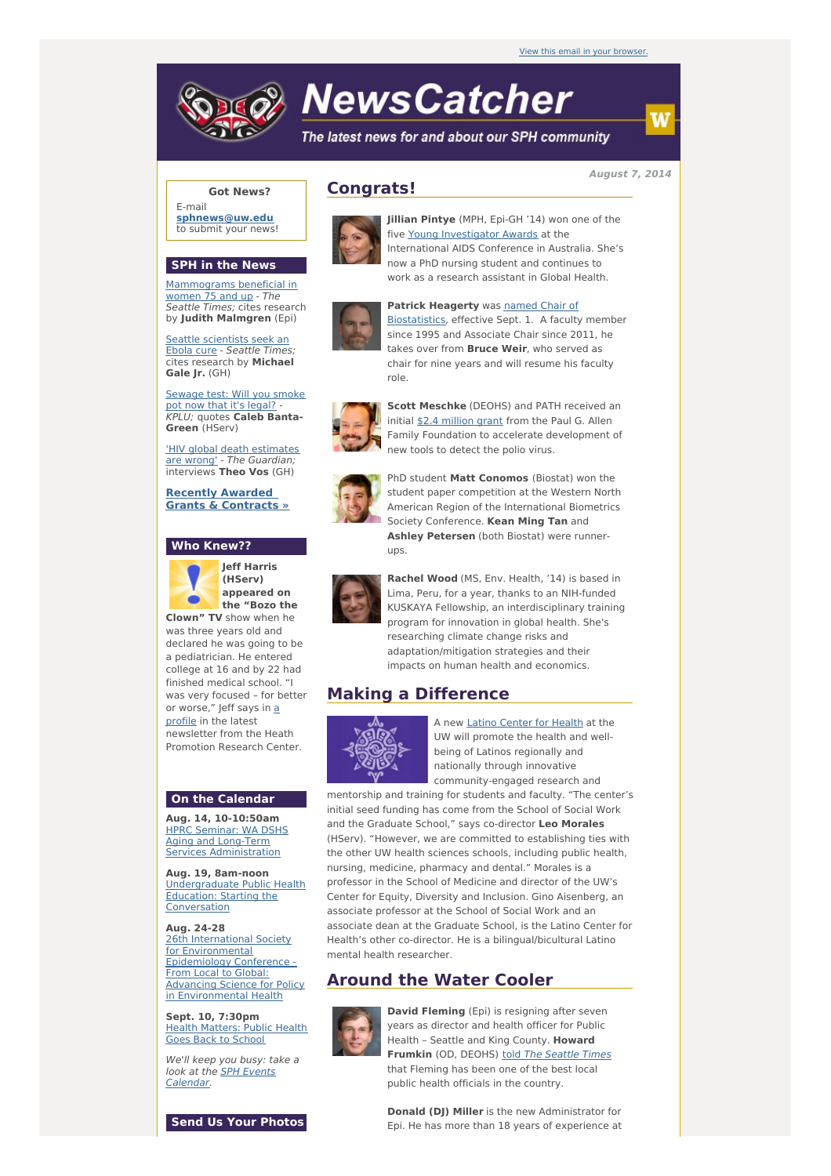# **NewsCatcher**

The latest news for and about our SPH community

**August 7, 2014**

### **Got News?**

E-mail **[sphnews@uw.edu](mailto:sphnews@uw.edu)** to submit your news!

#### **SPH in the News**

[Mammograms](http://engage.washington.edu/site/R?i=808EnfDIOosJgwArxL0NGw) beneficial in women 75 and up - The Seattle Times; cites research by **Judith Malmgren** (Epi)

Seattle [scientists](http://engage.washington.edu/site/R?i=p14M2jyb3zgApjTaRk0Fsg) seek an Ebola cure - Seattle Times; cites research by **Michael Gale Jr.** (GH)

[Sewage](http://engage.washington.edu/site/R?i=8w5yMsVXHzcnjimAvtuXTQ) test: Will you smoke pot now that it's legal? - KPLU; quotes **Caleb Banta-Green** (HServ)

'HIV global death [estimates](http://engage.washington.edu/site/R?i=wq4olbYwUAjwY-TZKSatjA) are wrong' - The Guardian; interviews **Theo Vos** (GH)

**Recently Awarded Grants & [Contracts](http://engage.washington.edu/site/R?i=A0WIa9NZW3n9H-PoJ1Rmmg) »**

#### **Who Knew??**



**Jeff Harris (HServ) appeared on the "Bozo the**

**Clown" TV** show when he was three years old and declared he was going to be a pediatrician. He entered college at 16 and by 22 had finished medical school. "I was very focused – for better or [worse,"](http://engage.washington.edu/site/R?i=WwRFl_7LbZbKa1NRhEiowA) Jeff says in a profile in the latest newsletter from the Heath Promotion Research Center.

#### **On the Calendar**

**Aug. 14, 10-10:50am** HPRC Seminar: WA DSHS Aging and Long-Term Services [Administration](http://engage.washington.edu/site/R?i=Y_Y0EutAsoScGohikZ4TlQ)

**Aug. 19, 8am-noon** [Undergraduate](http://engage.washington.edu/site/R?i=SsneUn6dTpJERHEOhBaAIQ) Public Health Education: Starting the **Conversation** 

**Aug. 24-28** 26th International Society for Environmental Epidemiology Conference - From Local to Global: Advancing Science for Policy in [Environmental](http://engage.washington.edu/site/R?i=kokLkFtTlP0eliEtJw32sg) Health

**Sept. 10, 7:30pm** Health [Matters:](http://engage.washington.edu/site/R?i=13pUkez9YxZgFIqcNOtebw) Public Health Goes Back to School

We'll keep you busy: take a look at the SPH Events [Calendar.](http://engage.washington.edu/site/R?i=2JCs3cfgPvhAPpJ4Rb84rg)



## **Congrats!**



**Jillian Pintye** (MPH, Epi-GH '14) won one of the five Young [Investigator](http://engage.washington.edu/site/R?i=eylvxfen3GrCK7CUqIT_3w) Awards at the International AIDS Conference in Australia. She's now a PhD nursing student and continues to work as a research assistant in Global Health.



#### **Patrick Heagerty** was named Chair of

[Biostatistics,](http://engage.washington.edu/site/R?i=KiZ0_77f8ZF2RocJsldc8A) effective Sept. 1. A faculty member since 1995 and Associate Chair since 2011, he takes over from **Bruce Weir**, who served as chair for nine years and will resume his faculty role.



**Scott Meschke** (DEOHS) and PATH received an initial \$2.4 [million](http://engage.washington.edu/site/R?i=c4Dukt6rSkquGlztTu_Amw) grant from the Paul G. Allen Family Foundation to accelerate development of new tools to detect the polio virus.



PhD student **Matt Conomos** (Biostat) won the student paper competition at the Western North American Region of the International Biometrics Society Conference. **Kean Ming Tan** and **Ashley Petersen** (both Biostat) were runnerups.



**Rachel Wood** (MS, Env. Health, '14) is based in Lima, Peru, for a year, thanks to an NIH-funded KUSKAYA Fellowship, an interdisciplinary training program for innovation in global health. She's researching climate change risks and adaptation/mitigation strategies and their impacts on human health and economics.

# **Making a Difference**



A new Latino [Center](http://engage.washington.edu/site/R?i=gqQuBMtnnEriVx3P5Cvs5Q) for Health at the UW will promote the health and wellbeing of Latinos regionally and nationally through innovative community-engaged research and

mentorship and training for students and faculty. "The center's initial seed funding has come from the School of Social Work and the Graduate School," says co-director **Leo Morales** (HServ). "However, we are committed to establishing ties with the other UW health sciences schools, including public health, nursing, medicine, pharmacy and dental." Morales is a professor in the School of Medicine and director of the UW's Center for Equity, Diversity and Inclusion. Gino Aisenberg, an associate professor at the School of Social Work and an associate dean at the Graduate School, is the Latino Center for Health's other co-director. He is a bilingual/bicultural Latino mental health researcher.

## **Around the Water Cooler**



**David Fleming** (Epi) is resigning after seven years as director and health officer for Public Health – Seattle and King County. **Howard Frumkin** (OD, DEOHS) told The [Seattle](http://engage.washington.edu/site/R?i=BkF6vrpGx20U1p7fnP9img) Times that Fleming has been one of the best local public health officials in the country.

**Donald (DJ) Miller** is the new Administrator for Epi. He has more than 18 years of experience at